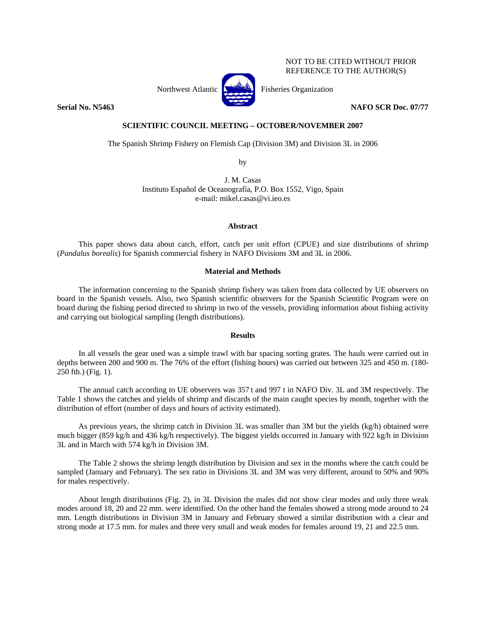# NOT TO BE CITED WITHOUT PRIOR REFERENCE TO THE AUTHOR(S)



Northwest Atlantic **Northus** Fisheries Organization

**Serial No. N5463** NAFO SCR Doc. 07/77

# **SCIENTIFIC COUNCIL MEETING – OCTOBER/NOVEMBER 2007**

The Spanish Shrimp Fishery on Flemish Cap (Division 3M) and Division 3L in 2006

by

J. M. Casas Instituto Español de Oceanografía, P.O. Box 1552, Vigo, Spain e-mail: mikel.casas@vi.ieo.es

#### **Abstract**

This paper shows data about catch, effort, catch per unit effort (CPUE) and size distributions of shrimp (*Pandalus borealis*) for Spanish commercial fishery in NAFO Divisions 3M and 3L in 2006.

#### **Material and Methods**

The information concerning to the Spanish shrimp fishery was taken from data collected by UE observers on board in the Spanish vessels. Also, two Spanish scientific observers for the Spanish Scientific Program were on board during the fishing period directed to shrimp in two of the vessels, providing information about fishing activity and carrying out biological sampling (length distributions).

### **Results**

In all vessels the gear used was a simple trawl with bar spacing sorting grates. The hauls were carried out in depths between 200 and 900 m. The 76% of the effort (fishing hours) was carried out between 325 and 450 m. (180-250 fth.) (Fig. 1).

The annual catch according to UE observers was 357 t and 997 t in NAFO Div. 3L and 3M respectively. The Table 1 shows the catches and yields of shrimp and discards of the main caught species by month, together with the distribution of effort (number of days and hours of activity estimated).

As previous years, the shrimp catch in Division 3L was smaller than 3M but the yields (kg/h) obtained were much bigger (859 kg/h and 436 kg/h respectively). The biggest yields occurred in January with 922 kg/h in Division 3L and in March with 574 kg/h in Division 3M.

The Table 2 shows the shrimp length distribution by Division and sex in the months where the catch could be sampled (January and February). The sex ratio in Divisions 3L and 3M was very different, around to 50% and 90% for males respectively.

About length distributions (Fig. 2), in 3L Division the males did not show clear modes and only three weak modes around 18, 20 and 22 mm. were identified. On the other hand the females showed a strong mode around to 24 mm. Length distributions in Division 3M in January and February showed a similar distribution with a clear and strong mode at 17.5 mm. for males and three very small and weak modes for females around 19, 21 and 22.5 mm.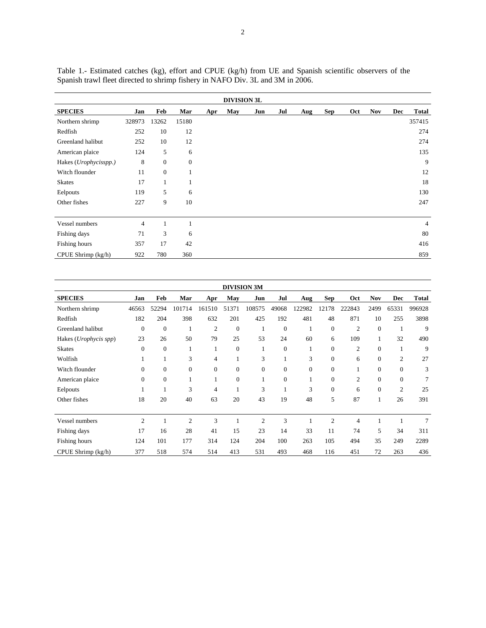|                       |                |                  |              |     | <b>DIVISION 3L</b> |     |     |     |            |     |            |            |              |
|-----------------------|----------------|------------------|--------------|-----|--------------------|-----|-----|-----|------------|-----|------------|------------|--------------|
| <b>SPECIES</b>        | Jan            | Feb              | Mar          | Apr | May                | Jun | Jul | Aug | <b>Sep</b> | Oct | <b>Nov</b> | <b>Dec</b> | <b>Total</b> |
| Northern shrimp       | 328973         | 13262            | 15180        |     |                    |     |     |     |            |     |            |            | 357415       |
| Redfish               | 252            | 10               | 12           |     |                    |     |     |     |            |     |            |            | 274          |
| Greenland halibut     | 252            | 10               | 12           |     |                    |     |     |     |            |     |            |            | 274          |
| American plaice       | 124            | 5                | 6            |     |                    |     |     |     |            |     |            |            | 135          |
| Hakes (Urophycisspp.) | 8              | $\boldsymbol{0}$ | $\mathbf{0}$ |     |                    |     |     |     |            |     |            |            | 9            |
| Witch flounder        | 11             | $\mathbf{0}$     | 1            |     |                    |     |     |     |            |     |            |            | 12           |
| <b>Skates</b>         | 17             | 1                | 1            |     |                    |     |     |     |            |     |            |            | 18           |
| Eelpouts              | 119            | 5                | 6            |     |                    |     |     |     |            |     |            |            | 130          |
| Other fishes          | 227            | 9                | 10           |     |                    |     |     |     |            |     |            |            | 247          |
|                       |                |                  |              |     |                    |     |     |     |            |     |            |            |              |
| Vessel numbers        | $\overline{4}$ |                  |              |     |                    |     |     |     |            |     |            |            | 4            |
| Fishing days          | 71             | 3                | 6            |     |                    |     |     |     |            |     |            |            | 80           |
| Fishing hours         | 357            | 17               | 42           |     |                    |     |     |     |            |     |            |            | 416          |
| CPUE Shrimp (kg/h)    | 922            | 780              | 360          |     |                    |     |     |     |            |     |            |            | 859          |

Table 1.- Estimated catches (kg), effort and CPUE (kg/h) from UE and Spanish scientific observers of the Spanish trawl fleet directed to shrimp fishery in NAFO Div. 3L and 3M in 2006.

| <b>DIVISION 3M</b>    |                |              |                |                  |                  |                |                |              |                |                |                  |                |                |
|-----------------------|----------------|--------------|----------------|------------------|------------------|----------------|----------------|--------------|----------------|----------------|------------------|----------------|----------------|
| <b>SPECIES</b>        | Jan            | Feb          | Mar            | Apr              | <b>May</b>       | Jun            | Jul            | Aug          | Sep            | Oct            | <b>Nov</b>       | <b>Dec</b>     | <b>Total</b>   |
| Northern shrimp       | 46563          | 52294        | 101714         | 161510           | 51371            | 108575         | 49068          | 122982       | 12178          | 222843         | 2499             | 65331          | 996928         |
| Redfish               | 182            | 204          | 398            | 632              | 201              | 425            | 192            | 481          | 48             | 871            | 10               | 255            | 3898           |
| Greenland halibut     | $\overline{0}$ | $\mathbf{0}$ |                | $\overline{2}$   | $\mathbf{0}$     | 1              | $\overline{0}$ | 1            | $\mathbf{0}$   | $\overline{c}$ | $\boldsymbol{0}$ | 1              | 9              |
| Hakes (Urophycis spp) | 23             | 26           | 50             | 79               | 25               | 53             | 24             | 60           | 6              | 109            | $\mathbf{1}$     | 32             | 490            |
| <b>Skates</b>         | $\Omega$       | $\Omega$     | 1              | 1                | $\theta$         | 1              | $\mathbf{0}$   | 1            | $\mathbf{0}$   | $\mathfrak{2}$ | $\mathbf{0}$     | 1              | 9              |
| Wolfish               |                |              | 3              | $\overline{4}$   | 1                | 3              |                | 3            | $\mathbf{0}$   | 6              | $\mathbf{0}$     | $\overline{c}$ | 27             |
| Witch flounder        | $\mathbf{0}$   | $\mathbf{0}$ | $\mathbf{0}$   | $\boldsymbol{0}$ | $\boldsymbol{0}$ | $\mathbf{0}$   | $\mathbf{0}$   | $\mathbf{0}$ | $\mathbf{0}$   | $\mathbf{1}$   | $\boldsymbol{0}$ | $\mathbf{0}$   | 3              |
| American plaice       | $\mathbf{0}$   | $\mathbf{0}$ | $\mathbf{1}$   | 1                | $\boldsymbol{0}$ | 1              | $\mathbf{0}$   | 1            | $\overline{0}$ | $\overline{2}$ | $\mathbf{0}$     | $\mathbf{0}$   | $\overline{7}$ |
| Eelpouts              |                |              | 3              | 4                | 1                | 3              | 1              | 3            | $\mathbf{0}$   | 6              | $\mathbf{0}$     | $\overline{c}$ | 25             |
| Other fishes          | 18             | 20           | 40             | 63               | 20               | 43             | 19             | 48           | 5              | 87             | 1                | 26             | 391            |
| Vessel numbers        | $\overline{2}$ |              | $\overline{2}$ | 3                | 1                | $\overline{2}$ | 3              | 1            | $\overline{2}$ | 4              | 1                |                | 7              |
| Fishing days          | 17             | 16           | 28             | 41               | 15               | 23             | 14             | 33           | 11             | 74             | 5                | 34             | 311            |
| Fishing hours         | 124            | 101          | 177            | 314              | 124              | 204            | 100            | 263          | 105            | 494            | 35               | 249            | 2289           |
| CPUE Shrimp (kg/h)    | 377            | 518          | 574            | 514              | 413              | 531            | 493            | 468          | 116            | 451            | 72               | 263            | 436            |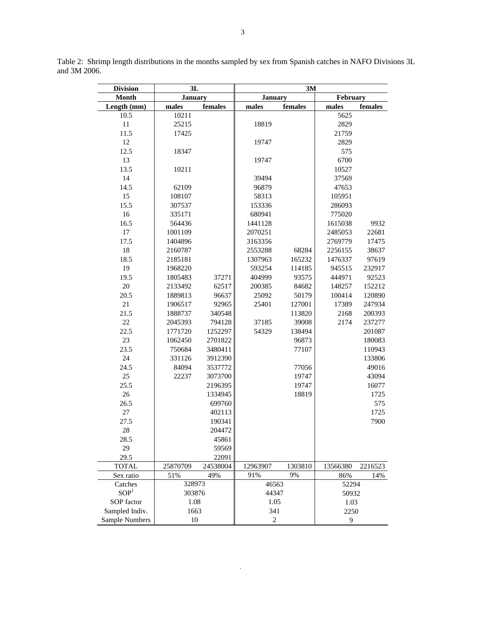| <b>Month</b><br><b>January</b><br><b>January</b><br>February<br>females<br>females<br>females<br>Length (mm)<br>males<br>males<br>males<br>5625<br>10.5<br>10211<br>$11\,$<br>25215<br>2829<br>18819<br>11.5<br>17425<br>21759<br>12<br>2829<br>19747<br>12.5<br>575<br>18347<br>13<br>6700<br>19747<br>13.5<br>10211<br>10527<br>14<br>39494<br>37569<br>14.5<br>62109<br>96879<br>47653<br>15<br>58313<br>108107<br>105951<br>15.5<br>307537<br>153336<br>286093<br>16<br>335171<br>680941<br>775020<br>16.5<br>564436<br>1441128<br>1615038<br>9932<br>17<br>1001109<br>2070251<br>2485053<br>22681<br>17.5<br>1404896<br>3163356<br>2769779<br>17475<br>18<br>68284<br>2160787<br>2553288<br>2256155<br>38637<br>18.5<br>97619<br>2185181<br>1307963<br>165232<br>1476337<br>19<br>232917<br>1968220<br>593254<br>114185<br>945515<br>19.5<br>92523<br>1805483<br>37271<br>404999<br>93575<br>444971<br>20<br>2133492<br>62517<br>200385<br>84682<br>148257<br>152212<br>20.5<br>1889813<br>96637<br>25092<br>50179<br>120890<br>100414<br>$21\,$<br>92965<br>127001<br>17389<br>247934<br>1906517<br>25401<br>21.5<br>1888737<br>340548<br>113820<br>2168<br>200393<br>22<br>2045393<br>794128<br>37185<br>39008<br>2174<br>237277<br>22.5<br>1252297<br>54329<br>138494<br>1771720<br>201087<br>23<br>96873<br>1062450<br>2701822<br>180083<br>23.5<br>110943<br>750684<br>3480411<br>77107<br>24<br>133806<br>331126<br>3912390<br>24.5<br>3537772<br>49016<br>84094<br>77056<br>25<br>22237<br>19747<br>3073700<br>43094<br>25.5<br>19747<br>2196395<br>16077<br>26<br>1334945<br>18819<br>1725<br>26.5<br>699760<br>575<br>27<br>1725<br>402113<br>27.5<br>7900<br>190341<br>$28\,$<br>204472<br>28.5<br>45861<br>29<br>59569<br>29.5<br>22091<br>25870709<br>13566380<br><b>TOTAL</b><br>24538004<br>12963907<br>1303810<br>2216523<br>91%<br>9%<br>49%<br>14%<br>Sex ratio<br>51%<br>86%<br>46563<br>Catches<br>328973<br>52294<br>SOP <sup>1</sup><br>303876<br>44347<br>50932<br>SOP factor<br>1.08<br>1.05<br>1.03<br>341 | <b>Division</b> | 3L   |  | 3M |  |      |  |  |  |  |
|-----------------------------------------------------------------------------------------------------------------------------------------------------------------------------------------------------------------------------------------------------------------------------------------------------------------------------------------------------------------------------------------------------------------------------------------------------------------------------------------------------------------------------------------------------------------------------------------------------------------------------------------------------------------------------------------------------------------------------------------------------------------------------------------------------------------------------------------------------------------------------------------------------------------------------------------------------------------------------------------------------------------------------------------------------------------------------------------------------------------------------------------------------------------------------------------------------------------------------------------------------------------------------------------------------------------------------------------------------------------------------------------------------------------------------------------------------------------------------------------------------------------------------------------------------------------------------------------------------------------------------------------------------------------------------------------------------------------------------------------------------------------------------------------------------------------------------------------------------------------------------------------------------------------------------------------------------------------------------------------------------------------------------------------|-----------------|------|--|----|--|------|--|--|--|--|
|                                                                                                                                                                                                                                                                                                                                                                                                                                                                                                                                                                                                                                                                                                                                                                                                                                                                                                                                                                                                                                                                                                                                                                                                                                                                                                                                                                                                                                                                                                                                                                                                                                                                                                                                                                                                                                                                                                                                                                                                                                         |                 |      |  |    |  |      |  |  |  |  |
|                                                                                                                                                                                                                                                                                                                                                                                                                                                                                                                                                                                                                                                                                                                                                                                                                                                                                                                                                                                                                                                                                                                                                                                                                                                                                                                                                                                                                                                                                                                                                                                                                                                                                                                                                                                                                                                                                                                                                                                                                                         |                 |      |  |    |  |      |  |  |  |  |
|                                                                                                                                                                                                                                                                                                                                                                                                                                                                                                                                                                                                                                                                                                                                                                                                                                                                                                                                                                                                                                                                                                                                                                                                                                                                                                                                                                                                                                                                                                                                                                                                                                                                                                                                                                                                                                                                                                                                                                                                                                         |                 |      |  |    |  |      |  |  |  |  |
|                                                                                                                                                                                                                                                                                                                                                                                                                                                                                                                                                                                                                                                                                                                                                                                                                                                                                                                                                                                                                                                                                                                                                                                                                                                                                                                                                                                                                                                                                                                                                                                                                                                                                                                                                                                                                                                                                                                                                                                                                                         |                 |      |  |    |  |      |  |  |  |  |
|                                                                                                                                                                                                                                                                                                                                                                                                                                                                                                                                                                                                                                                                                                                                                                                                                                                                                                                                                                                                                                                                                                                                                                                                                                                                                                                                                                                                                                                                                                                                                                                                                                                                                                                                                                                                                                                                                                                                                                                                                                         |                 |      |  |    |  |      |  |  |  |  |
|                                                                                                                                                                                                                                                                                                                                                                                                                                                                                                                                                                                                                                                                                                                                                                                                                                                                                                                                                                                                                                                                                                                                                                                                                                                                                                                                                                                                                                                                                                                                                                                                                                                                                                                                                                                                                                                                                                                                                                                                                                         |                 |      |  |    |  |      |  |  |  |  |
|                                                                                                                                                                                                                                                                                                                                                                                                                                                                                                                                                                                                                                                                                                                                                                                                                                                                                                                                                                                                                                                                                                                                                                                                                                                                                                                                                                                                                                                                                                                                                                                                                                                                                                                                                                                                                                                                                                                                                                                                                                         |                 |      |  |    |  |      |  |  |  |  |
|                                                                                                                                                                                                                                                                                                                                                                                                                                                                                                                                                                                                                                                                                                                                                                                                                                                                                                                                                                                                                                                                                                                                                                                                                                                                                                                                                                                                                                                                                                                                                                                                                                                                                                                                                                                                                                                                                                                                                                                                                                         |                 |      |  |    |  |      |  |  |  |  |
|                                                                                                                                                                                                                                                                                                                                                                                                                                                                                                                                                                                                                                                                                                                                                                                                                                                                                                                                                                                                                                                                                                                                                                                                                                                                                                                                                                                                                                                                                                                                                                                                                                                                                                                                                                                                                                                                                                                                                                                                                                         |                 |      |  |    |  |      |  |  |  |  |
|                                                                                                                                                                                                                                                                                                                                                                                                                                                                                                                                                                                                                                                                                                                                                                                                                                                                                                                                                                                                                                                                                                                                                                                                                                                                                                                                                                                                                                                                                                                                                                                                                                                                                                                                                                                                                                                                                                                                                                                                                                         |                 |      |  |    |  |      |  |  |  |  |
|                                                                                                                                                                                                                                                                                                                                                                                                                                                                                                                                                                                                                                                                                                                                                                                                                                                                                                                                                                                                                                                                                                                                                                                                                                                                                                                                                                                                                                                                                                                                                                                                                                                                                                                                                                                                                                                                                                                                                                                                                                         |                 |      |  |    |  |      |  |  |  |  |
|                                                                                                                                                                                                                                                                                                                                                                                                                                                                                                                                                                                                                                                                                                                                                                                                                                                                                                                                                                                                                                                                                                                                                                                                                                                                                                                                                                                                                                                                                                                                                                                                                                                                                                                                                                                                                                                                                                                                                                                                                                         |                 |      |  |    |  |      |  |  |  |  |
|                                                                                                                                                                                                                                                                                                                                                                                                                                                                                                                                                                                                                                                                                                                                                                                                                                                                                                                                                                                                                                                                                                                                                                                                                                                                                                                                                                                                                                                                                                                                                                                                                                                                                                                                                                                                                                                                                                                                                                                                                                         |                 |      |  |    |  |      |  |  |  |  |
|                                                                                                                                                                                                                                                                                                                                                                                                                                                                                                                                                                                                                                                                                                                                                                                                                                                                                                                                                                                                                                                                                                                                                                                                                                                                                                                                                                                                                                                                                                                                                                                                                                                                                                                                                                                                                                                                                                                                                                                                                                         |                 |      |  |    |  |      |  |  |  |  |
|                                                                                                                                                                                                                                                                                                                                                                                                                                                                                                                                                                                                                                                                                                                                                                                                                                                                                                                                                                                                                                                                                                                                                                                                                                                                                                                                                                                                                                                                                                                                                                                                                                                                                                                                                                                                                                                                                                                                                                                                                                         |                 |      |  |    |  |      |  |  |  |  |
|                                                                                                                                                                                                                                                                                                                                                                                                                                                                                                                                                                                                                                                                                                                                                                                                                                                                                                                                                                                                                                                                                                                                                                                                                                                                                                                                                                                                                                                                                                                                                                                                                                                                                                                                                                                                                                                                                                                                                                                                                                         |                 |      |  |    |  |      |  |  |  |  |
|                                                                                                                                                                                                                                                                                                                                                                                                                                                                                                                                                                                                                                                                                                                                                                                                                                                                                                                                                                                                                                                                                                                                                                                                                                                                                                                                                                                                                                                                                                                                                                                                                                                                                                                                                                                                                                                                                                                                                                                                                                         |                 |      |  |    |  |      |  |  |  |  |
|                                                                                                                                                                                                                                                                                                                                                                                                                                                                                                                                                                                                                                                                                                                                                                                                                                                                                                                                                                                                                                                                                                                                                                                                                                                                                                                                                                                                                                                                                                                                                                                                                                                                                                                                                                                                                                                                                                                                                                                                                                         |                 |      |  |    |  |      |  |  |  |  |
|                                                                                                                                                                                                                                                                                                                                                                                                                                                                                                                                                                                                                                                                                                                                                                                                                                                                                                                                                                                                                                                                                                                                                                                                                                                                                                                                                                                                                                                                                                                                                                                                                                                                                                                                                                                                                                                                                                                                                                                                                                         |                 |      |  |    |  |      |  |  |  |  |
|                                                                                                                                                                                                                                                                                                                                                                                                                                                                                                                                                                                                                                                                                                                                                                                                                                                                                                                                                                                                                                                                                                                                                                                                                                                                                                                                                                                                                                                                                                                                                                                                                                                                                                                                                                                                                                                                                                                                                                                                                                         |                 |      |  |    |  |      |  |  |  |  |
|                                                                                                                                                                                                                                                                                                                                                                                                                                                                                                                                                                                                                                                                                                                                                                                                                                                                                                                                                                                                                                                                                                                                                                                                                                                                                                                                                                                                                                                                                                                                                                                                                                                                                                                                                                                                                                                                                                                                                                                                                                         |                 |      |  |    |  |      |  |  |  |  |
|                                                                                                                                                                                                                                                                                                                                                                                                                                                                                                                                                                                                                                                                                                                                                                                                                                                                                                                                                                                                                                                                                                                                                                                                                                                                                                                                                                                                                                                                                                                                                                                                                                                                                                                                                                                                                                                                                                                                                                                                                                         |                 |      |  |    |  |      |  |  |  |  |
|                                                                                                                                                                                                                                                                                                                                                                                                                                                                                                                                                                                                                                                                                                                                                                                                                                                                                                                                                                                                                                                                                                                                                                                                                                                                                                                                                                                                                                                                                                                                                                                                                                                                                                                                                                                                                                                                                                                                                                                                                                         |                 |      |  |    |  |      |  |  |  |  |
|                                                                                                                                                                                                                                                                                                                                                                                                                                                                                                                                                                                                                                                                                                                                                                                                                                                                                                                                                                                                                                                                                                                                                                                                                                                                                                                                                                                                                                                                                                                                                                                                                                                                                                                                                                                                                                                                                                                                                                                                                                         |                 |      |  |    |  |      |  |  |  |  |
|                                                                                                                                                                                                                                                                                                                                                                                                                                                                                                                                                                                                                                                                                                                                                                                                                                                                                                                                                                                                                                                                                                                                                                                                                                                                                                                                                                                                                                                                                                                                                                                                                                                                                                                                                                                                                                                                                                                                                                                                                                         |                 |      |  |    |  |      |  |  |  |  |
|                                                                                                                                                                                                                                                                                                                                                                                                                                                                                                                                                                                                                                                                                                                                                                                                                                                                                                                                                                                                                                                                                                                                                                                                                                                                                                                                                                                                                                                                                                                                                                                                                                                                                                                                                                                                                                                                                                                                                                                                                                         |                 |      |  |    |  |      |  |  |  |  |
|                                                                                                                                                                                                                                                                                                                                                                                                                                                                                                                                                                                                                                                                                                                                                                                                                                                                                                                                                                                                                                                                                                                                                                                                                                                                                                                                                                                                                                                                                                                                                                                                                                                                                                                                                                                                                                                                                                                                                                                                                                         |                 |      |  |    |  |      |  |  |  |  |
|                                                                                                                                                                                                                                                                                                                                                                                                                                                                                                                                                                                                                                                                                                                                                                                                                                                                                                                                                                                                                                                                                                                                                                                                                                                                                                                                                                                                                                                                                                                                                                                                                                                                                                                                                                                                                                                                                                                                                                                                                                         |                 |      |  |    |  |      |  |  |  |  |
|                                                                                                                                                                                                                                                                                                                                                                                                                                                                                                                                                                                                                                                                                                                                                                                                                                                                                                                                                                                                                                                                                                                                                                                                                                                                                                                                                                                                                                                                                                                                                                                                                                                                                                                                                                                                                                                                                                                                                                                                                                         |                 |      |  |    |  |      |  |  |  |  |
|                                                                                                                                                                                                                                                                                                                                                                                                                                                                                                                                                                                                                                                                                                                                                                                                                                                                                                                                                                                                                                                                                                                                                                                                                                                                                                                                                                                                                                                                                                                                                                                                                                                                                                                                                                                                                                                                                                                                                                                                                                         |                 |      |  |    |  |      |  |  |  |  |
|                                                                                                                                                                                                                                                                                                                                                                                                                                                                                                                                                                                                                                                                                                                                                                                                                                                                                                                                                                                                                                                                                                                                                                                                                                                                                                                                                                                                                                                                                                                                                                                                                                                                                                                                                                                                                                                                                                                                                                                                                                         |                 |      |  |    |  |      |  |  |  |  |
|                                                                                                                                                                                                                                                                                                                                                                                                                                                                                                                                                                                                                                                                                                                                                                                                                                                                                                                                                                                                                                                                                                                                                                                                                                                                                                                                                                                                                                                                                                                                                                                                                                                                                                                                                                                                                                                                                                                                                                                                                                         |                 |      |  |    |  |      |  |  |  |  |
|                                                                                                                                                                                                                                                                                                                                                                                                                                                                                                                                                                                                                                                                                                                                                                                                                                                                                                                                                                                                                                                                                                                                                                                                                                                                                                                                                                                                                                                                                                                                                                                                                                                                                                                                                                                                                                                                                                                                                                                                                                         |                 |      |  |    |  |      |  |  |  |  |
|                                                                                                                                                                                                                                                                                                                                                                                                                                                                                                                                                                                                                                                                                                                                                                                                                                                                                                                                                                                                                                                                                                                                                                                                                                                                                                                                                                                                                                                                                                                                                                                                                                                                                                                                                                                                                                                                                                                                                                                                                                         |                 |      |  |    |  |      |  |  |  |  |
|                                                                                                                                                                                                                                                                                                                                                                                                                                                                                                                                                                                                                                                                                                                                                                                                                                                                                                                                                                                                                                                                                                                                                                                                                                                                                                                                                                                                                                                                                                                                                                                                                                                                                                                                                                                                                                                                                                                                                                                                                                         |                 |      |  |    |  |      |  |  |  |  |
|                                                                                                                                                                                                                                                                                                                                                                                                                                                                                                                                                                                                                                                                                                                                                                                                                                                                                                                                                                                                                                                                                                                                                                                                                                                                                                                                                                                                                                                                                                                                                                                                                                                                                                                                                                                                                                                                                                                                                                                                                                         |                 |      |  |    |  |      |  |  |  |  |
|                                                                                                                                                                                                                                                                                                                                                                                                                                                                                                                                                                                                                                                                                                                                                                                                                                                                                                                                                                                                                                                                                                                                                                                                                                                                                                                                                                                                                                                                                                                                                                                                                                                                                                                                                                                                                                                                                                                                                                                                                                         |                 |      |  |    |  |      |  |  |  |  |
|                                                                                                                                                                                                                                                                                                                                                                                                                                                                                                                                                                                                                                                                                                                                                                                                                                                                                                                                                                                                                                                                                                                                                                                                                                                                                                                                                                                                                                                                                                                                                                                                                                                                                                                                                                                                                                                                                                                                                                                                                                         |                 |      |  |    |  |      |  |  |  |  |
|                                                                                                                                                                                                                                                                                                                                                                                                                                                                                                                                                                                                                                                                                                                                                                                                                                                                                                                                                                                                                                                                                                                                                                                                                                                                                                                                                                                                                                                                                                                                                                                                                                                                                                                                                                                                                                                                                                                                                                                                                                         |                 |      |  |    |  |      |  |  |  |  |
|                                                                                                                                                                                                                                                                                                                                                                                                                                                                                                                                                                                                                                                                                                                                                                                                                                                                                                                                                                                                                                                                                                                                                                                                                                                                                                                                                                                                                                                                                                                                                                                                                                                                                                                                                                                                                                                                                                                                                                                                                                         |                 |      |  |    |  |      |  |  |  |  |
|                                                                                                                                                                                                                                                                                                                                                                                                                                                                                                                                                                                                                                                                                                                                                                                                                                                                                                                                                                                                                                                                                                                                                                                                                                                                                                                                                                                                                                                                                                                                                                                                                                                                                                                                                                                                                                                                                                                                                                                                                                         |                 |      |  |    |  |      |  |  |  |  |
|                                                                                                                                                                                                                                                                                                                                                                                                                                                                                                                                                                                                                                                                                                                                                                                                                                                                                                                                                                                                                                                                                                                                                                                                                                                                                                                                                                                                                                                                                                                                                                                                                                                                                                                                                                                                                                                                                                                                                                                                                                         |                 |      |  |    |  |      |  |  |  |  |
|                                                                                                                                                                                                                                                                                                                                                                                                                                                                                                                                                                                                                                                                                                                                                                                                                                                                                                                                                                                                                                                                                                                                                                                                                                                                                                                                                                                                                                                                                                                                                                                                                                                                                                                                                                                                                                                                                                                                                                                                                                         |                 |      |  |    |  |      |  |  |  |  |
|                                                                                                                                                                                                                                                                                                                                                                                                                                                                                                                                                                                                                                                                                                                                                                                                                                                                                                                                                                                                                                                                                                                                                                                                                                                                                                                                                                                                                                                                                                                                                                                                                                                                                                                                                                                                                                                                                                                                                                                                                                         |                 |      |  |    |  |      |  |  |  |  |
|                                                                                                                                                                                                                                                                                                                                                                                                                                                                                                                                                                                                                                                                                                                                                                                                                                                                                                                                                                                                                                                                                                                                                                                                                                                                                                                                                                                                                                                                                                                                                                                                                                                                                                                                                                                                                                                                                                                                                                                                                                         |                 |      |  |    |  |      |  |  |  |  |
|                                                                                                                                                                                                                                                                                                                                                                                                                                                                                                                                                                                                                                                                                                                                                                                                                                                                                                                                                                                                                                                                                                                                                                                                                                                                                                                                                                                                                                                                                                                                                                                                                                                                                                                                                                                                                                                                                                                                                                                                                                         |                 |      |  |    |  |      |  |  |  |  |
|                                                                                                                                                                                                                                                                                                                                                                                                                                                                                                                                                                                                                                                                                                                                                                                                                                                                                                                                                                                                                                                                                                                                                                                                                                                                                                                                                                                                                                                                                                                                                                                                                                                                                                                                                                                                                                                                                                                                                                                                                                         | Sampled Indiv.  | 1663 |  |    |  | 2250 |  |  |  |  |
| Sample Numbers<br>$\sqrt{2}$<br>10<br>9                                                                                                                                                                                                                                                                                                                                                                                                                                                                                                                                                                                                                                                                                                                                                                                                                                                                                                                                                                                                                                                                                                                                                                                                                                                                                                                                                                                                                                                                                                                                                                                                                                                                                                                                                                                                                                                                                                                                                                                                 |                 |      |  |    |  |      |  |  |  |  |

Table 2: Shrimp length distributions in the months sampled by sex from Spanish catches in NAFO Divisions 3L and 3M 2006.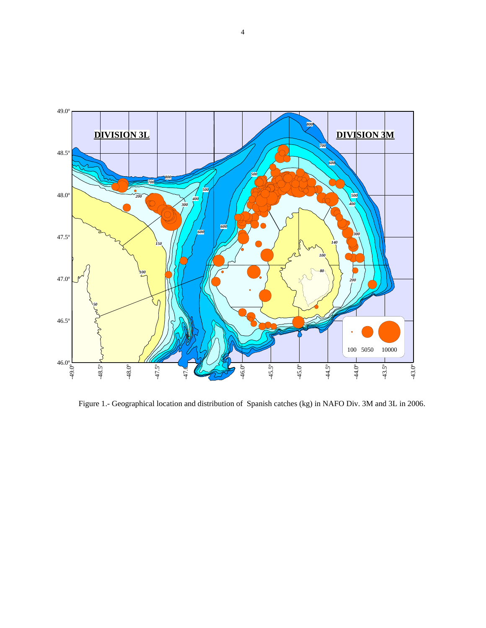

Figure 1.- Geographical location and distribution of Spanish catches (kg) in NAFO Div. 3M and 3L in 2006.